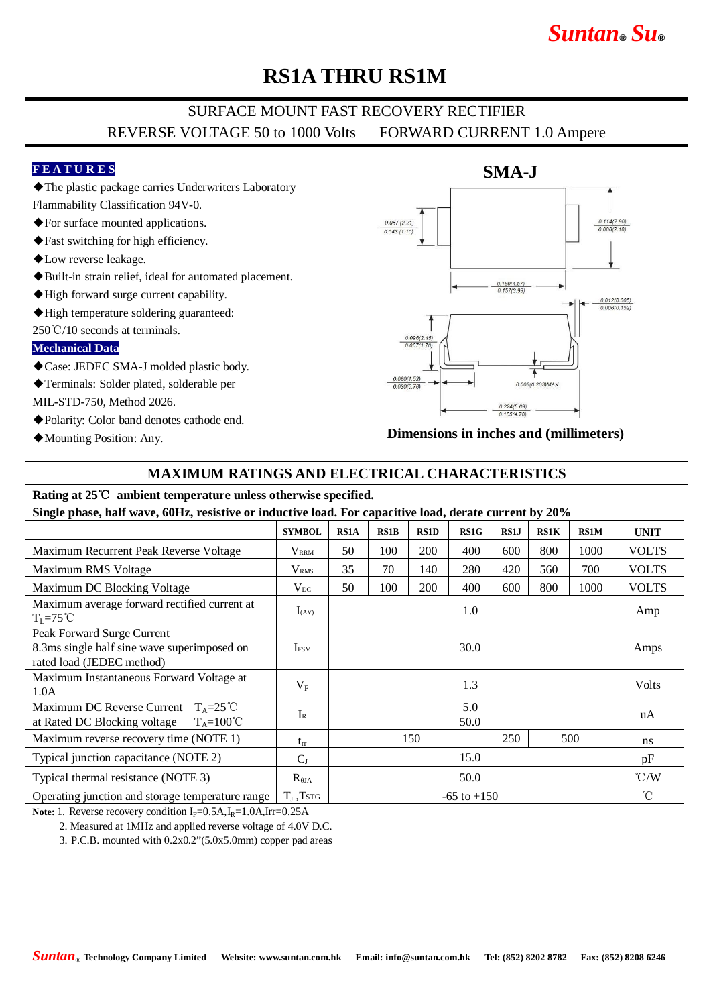# *Suntan***®** *Su***®**

## **RS1A THRU RS1M**

### SURFACE MOUNT FAST RECOVERY RECTIFIER REVERSE VOLTAGE 50 to 1000 Volts FORWARD CURRENT 1.0 Ampere

#### **F E A T U R E S**

◆The plastic package carries Underwriters Laboratory

- Flammability Classification 94V-0. ◆For surface mounted applications.
- ◆Fast switching for high efficiency.
- ◆Low reverse leakage.
- ◆Built-in strain relief, ideal for automated placement.
- ◆High forward surge current capability.
- ◆High temperature soldering guaranteed:
- 250℃/10 seconds at terminals.

#### **Mechanical Data**

- ◆Case: JEDEC SMA-J molded plastic body.
- ◆Terminals: Solder plated, solderable per

MIL-STD-750, Method 2026.

- ◆Polarity: Color band denotes cathode end.
- ◆Mounting Position: Any.



**Dimensions in inches and (millimeters)**

#### **MAXIMUM RATINGS AND ELECTRICAL CHARACTERISTICS**

#### **Rating at 25**℃ **ambient temperature unless otherwise specified.**

**Single phase, half wave, 60Hz, resistive or inductive load. For capacitive load, derate current by 20%**

| $ \blacksquare$                                                                                        |                         |                 |             |             |      |      |      |             |                 |
|--------------------------------------------------------------------------------------------------------|-------------------------|-----------------|-------------|-------------|------|------|------|-------------|-----------------|
|                                                                                                        | <b>SYMBOL</b>           | <b>RS1A</b>     | <b>RS1B</b> | <b>RS1D</b> | RS1G | RS1J | RS1K | <b>RS1M</b> | <b>UNIT</b>     |
| Maximum Recurrent Peak Reverse Voltage                                                                 | <b>VRRM</b>             | 50              | 100         | 200         | 400  | 600  | 800  | 1000        | <b>VOLTS</b>    |
| Maximum RMS Voltage                                                                                    | <b>V</b> <sub>RMS</sub> | 35              | 70          | 140         | 280  | 420  | 560  | 700         | <b>VOLTS</b>    |
| Maximum DC Blocking Voltage                                                                            | $V_{DC}$                | 50              | 100         | 200         | 400  | 600  | 800  | 1000        | <b>VOLTS</b>    |
| Maximum average forward rectified current at<br>$T_{\rm L}$ =75°C                                      | $I_{(AV)}$              | 1.0             |             |             |      |      |      |             | Amp             |
| Peak Forward Surge Current<br>8.3ms single half sine wave superimposed on<br>rated load (JEDEC method) | <b>IFSM</b>             | 30.0            |             |             |      |      |      |             | Amps            |
| Maximum Instantaneous Forward Voltage at<br>1.0A                                                       | $V_{\rm F}$             | 1.3             |             |             |      |      |      |             | <b>Volts</b>    |
| Maximum DC Reverse Current $T_A = 25^{\circ}C$<br>at Rated DC Blocking voltage $T_A = 100^{\circ}C$    | $I_{R}$                 | 5.0<br>50.0     |             |             |      |      |      |             | uA              |
| Maximum reverse recovery time (NOTE 1)                                                                 | $t_{rr}$                | 150             |             |             |      | 250  | 500  |             | ns              |
| Typical junction capacitance (NOTE 2)                                                                  | $C_{J}$                 | 15.0            |             |             |      |      |      |             | pF              |
| Typical thermal resistance (NOTE 3)                                                                    | $R_{\theta JA}$         | 50.0            |             |             |      |      |      |             | $\mathcal{C}/W$ |
| Operating junction and storage temperature range                                                       | $T_{\text{J}}$ , Tstg   | $-65$ to $+150$ |             |             |      |      |      |             | $^{\circ}$ C    |

Note: 1. Reverse recovery condition I<sub>F</sub>=0.5A,I<sub>R</sub>=1.0A,Irr=0.25A

2. Measured at 1MHz and applied reverse voltage of 4.0V D.C.

3. P.C.B. mounted with 0.2x0.2"(5.0x5.0mm) copper pad areas